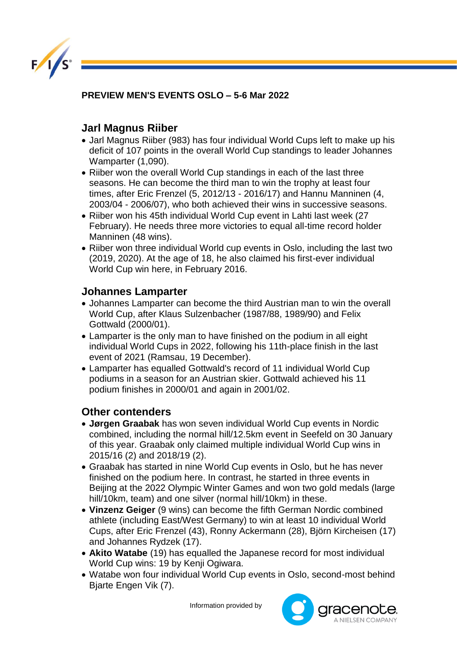

**PREVIEW MEN'S EVENTS OSLO – 5-6 Mar 2022** 

## **Jarl Magnus Riiber**

- Jarl Magnus Riiber (983) has four individual World Cups left to make up his deficit of 107 points in the overall World Cup standings to leader Johannes Wamparter (1,090).
- Riiber won the overall World Cup standings in each of the last three seasons. He can become the third man to win the trophy at least four times, after Eric Frenzel (5, 2012/13 - 2016/17) and Hannu Manninen (4, 2003/04 - 2006/07), who both achieved their wins in successive seasons.
- Riiber won his 45th individual World Cup event in Lahti last week (27) February). He needs three more victories to equal all-time record holder Manninen (48 wins).
- Riiber won three individual World cup events in Oslo, including the last two (2019, 2020). At the age of 18, he also claimed his first-ever individual World Cup win here, in February 2016.

## **Johannes Lamparter**

- Johannes Lamparter can become the third Austrian man to win the overall World Cup, after Klaus Sulzenbacher (1987/88, 1989/90) and Felix Gottwald (2000/01).
- Lamparter is the only man to have finished on the podium in all eight individual World Cups in 2022, following his 11th-place finish in the last event of 2021 (Ramsau, 19 December).
- Lamparter has equalled Gottwald's record of 11 individual World Cup podiums in a season for an Austrian skier. Gottwald achieved his 11 podium finishes in 2000/01 and again in 2001/02.

## **Other contenders**

- **Jørgen Graabak** has won seven individual World Cup events in Nordic combined, including the normal hill/12.5km event in Seefeld on 30 January of this year. Graabak only claimed multiple individual World Cup wins in 2015/16 (2) and 2018/19 (2).
- Graabak has started in nine World Cup events in Oslo, but he has never finished on the podium here. In contrast, he started in three events in Beijing at the 2022 Olympic Winter Games and won two gold medals (large hill/10km, team) and one silver (normal hill/10km) in these.
- **Vinzenz Geiger** (9 wins) can become the fifth German Nordic combined athlete (including East/West Germany) to win at least 10 individual World Cups, after Eric Frenzel (43), Ronny Ackermann (28), Björn Kircheisen (17) and Johannes Rydzek (17).
- **Akito Watabe** (19) has equalled the Japanese record for most individual World Cup wins: 19 by Kenji Ogiwara.
- Watabe won four individual World Cup events in Oslo, second-most behind Bjarte Engen Vik (7).

Information provided by